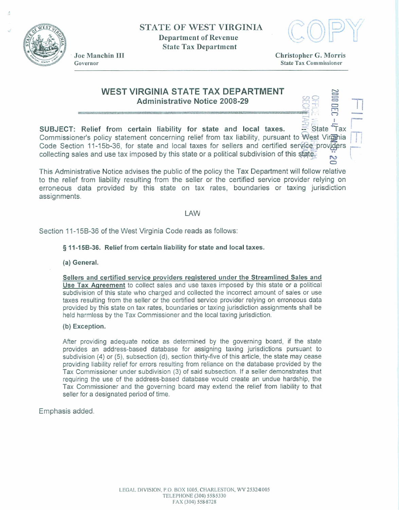

**STATE OF WEST VIRGINIA Department of Revenue State Tax Department** 



**Joe Manchin** III **Christopher** *G.* **Morris Governor State Tax Commissioner** 

# **WEST VIRGINIA STATE TAX DEPARTMENT ADDED ARGINIA STATE TAX DEPARTMENT<br>Administrative Notice 2008-29 PRODUCED AREA PRODUCED AT A REAL PRODUCED AND REAL PRODUCT**

**SUBJECT:** Relief from certain liability for state and local taxes. <br>
SUBJECT: Relief from certain liability for state and local taxes. <br>
State **Commissioner's policy statement concerning relief from tax liability, pursuant to**  Code Section 11-15b-36, for state and local taxes for sellers and certified service providers **collecting sales and use** tax **imposed by this state** or **a political subdivision of this u** 

This Administrative Notice advises the public of the policy the Tax Department will follow relative **to the relief from liabilrty resulting** from **the seller or the certified service provider relying on erroneous data provided by this state on tax rates, boundaries or taxing jurisdiction assignments.** 

### LAW

**Section 11-15B-36 of the West Virginia Code reads as follows:** 

#### **5 11-158-36. Relief from certain liability for state and local taxes.**

#### **(a) General.**

**Sellers and cetiied service providers reqistered under the Streamlined Sales and Use Tax Agreement to collect sales and use taxes imposed by this state** or **a political subdivision of this state who charged and collected the incorrect amount of sales or use taxes resulting from the seller or the certified service provider relying on erroneous data provided by this state on tax rates, boundaries** or **taxing jurisdiction assignments shall be held harmless by the Tax Commissioner and the local taxing jurisdiction.** 

#### **(b) Exception.**

**After providing adequate notice as determined by the governing board, if the state provides an address-based database for assigning taxing** jurisdictions **pursuant to subdivision (4) or (5), subsection (d), section thirty-five of** *this* **article,** the **state may cease providing liability relief for errors resulting from reliance on the database provided by the Tax Commissioner under subdivision (3) of said subsection. If a seller demonsbates that requiring the use of the address-based database would create an undue hardship,** the **Tax Commissioner and the governing board may extend the relief from liability to that seller for a designated period of time.** 

#### **Emphasis added.**